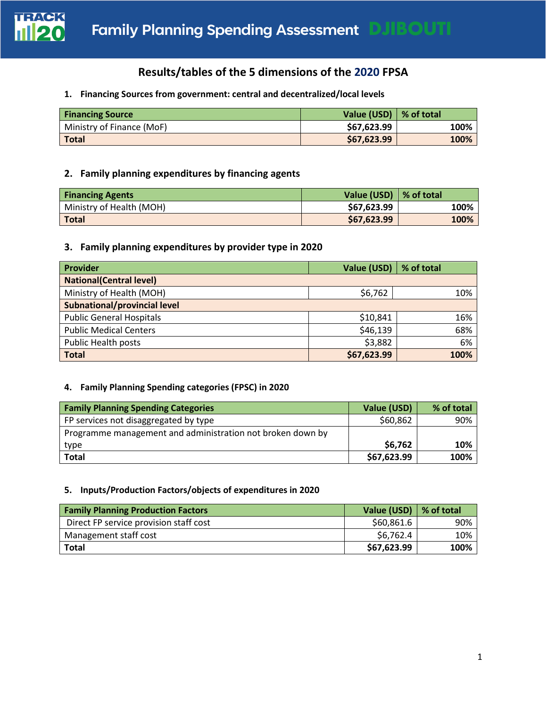

# **Results/tables of the 5 dimensions of the 2020 FPSA**

#### **1. Financing Sources from government: central and decentralized/local levels**

| <b>Financing Source</b>   | Value (USD) $\mid$ % of total |      |
|---------------------------|-------------------------------|------|
| Ministry of Finance (MoF) | \$67,623.99                   | 100% |
| <b>Total</b>              | \$67,623.99                   | 100% |

# **2. Family planning expenditures by financing agents**

| <b>Financing Agents</b>  | Value (USD) $\mid$ % of total |      |
|--------------------------|-------------------------------|------|
| Ministry of Health (MOH) | \$67,623.99                   | 100% |
| <b>Total</b>             | \$67,623.99                   | 100% |

## **3. Family planning expenditures by provider type in 2020**

| Provider                            | Value (USD) | % of total |
|-------------------------------------|-------------|------------|
| <b>National (Central level)</b>     |             |            |
| Ministry of Health (MOH)            | \$6,762     | 10%        |
| <b>Subnational/provincial level</b> |             |            |
| <b>Public General Hospitals</b>     | \$10,841    | 16%        |
| <b>Public Medical Centers</b>       | \$46,139    | 68%        |
| <b>Public Health posts</b>          | \$3,882     | 6%         |
| <b>Total</b>                        | \$67,623.99 | 100%       |

### **4. Family Planning Spending categories (FPSC) in 2020**

| <b>Family Planning Spending Categories</b>                 | Value (USD) | % of total |
|------------------------------------------------------------|-------------|------------|
| FP services not disaggregated by type                      | \$60,862    | 90%        |
| Programme management and administration not broken down by |             |            |
| type                                                       | \$6,762     | 10%        |
| <b>Total</b>                                               | \$67,623.99 | 100%       |

#### **5. Inputs/Production Factors/objects of expenditures in 2020**

| <b>Family Planning Production Factors</b> | Value (USD) | $\vert$ % of total |
|-------------------------------------------|-------------|--------------------|
| Direct FP service provision staff cost    | \$60,861.6  | 90%                |
| Management staff cost                     | \$6,762.4   | 10%                |
| <b>Total</b>                              | \$67,623.99 | 100%               |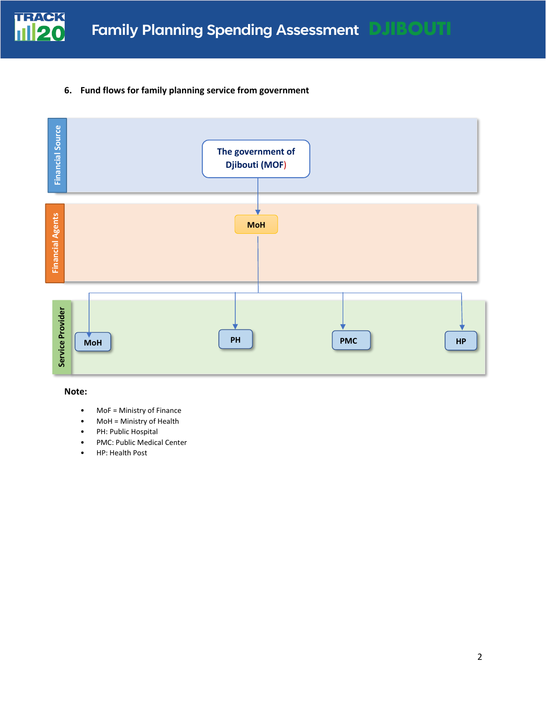

**6. Fund flows for family planning service from government**



#### **Note:**

- MoF = Ministry of Finance
- MoH = Ministry of Health
- PH: Public Hospital
- PMC: Public Medical Center
- HP: Health Post